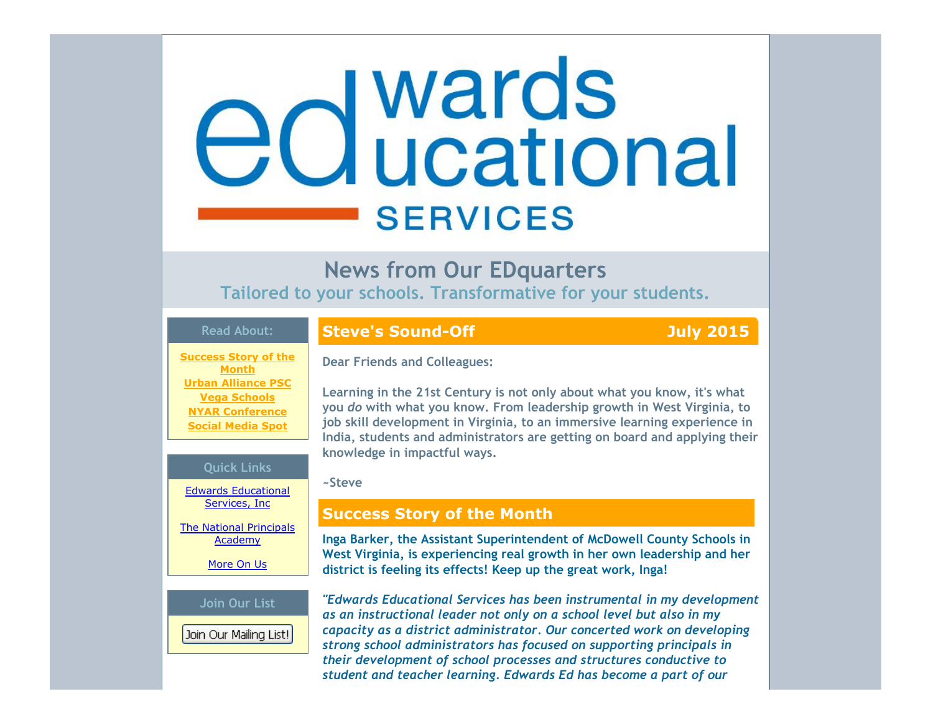# edwards **SERVICES**

# **News from Our EDquarters**

**Tailored to your schools. Transformative for your students.**

# **Read About:**

## **Success Story of the Month Urban Alliance PSC Vega Schools NYAR Conference Social Media Spot**

### **Quick Links**

Edwards Educational Services, Inc

The National Principals Academy

More On Us

### **Join Our List**

Join Our Mailing List!

# **Steve's Sound-Off July 2015**

**Dear Friends and Colleagues:**

**Learning in the 21st Century is not only about what you know, it's what you** *do* **with what you know. From leadership growth in West Virginia, to job skill development in Virginia, to an immersive learning experience in India, students and administrators are getting on board and applying their knowledge in impactful ways.**

### **~Steve**

# **Success Story of the Month**

**Inga Barker, the Assistant Superintendent of McDowell County Schools in West Virginia, is experiencing real growth in her own leadership and her district is feeling its effects! Keep up the great work, Inga!**

*"Edwards Educational Services has been instrumental in my development as an instructional leader not only on a school level but also in my capacity as a district administrator. Our concerted work on developing strong school administrators has focused on supporting principals in their development of school processes and structures conductive to student and teacher learning. Edwards Ed has become a part of our*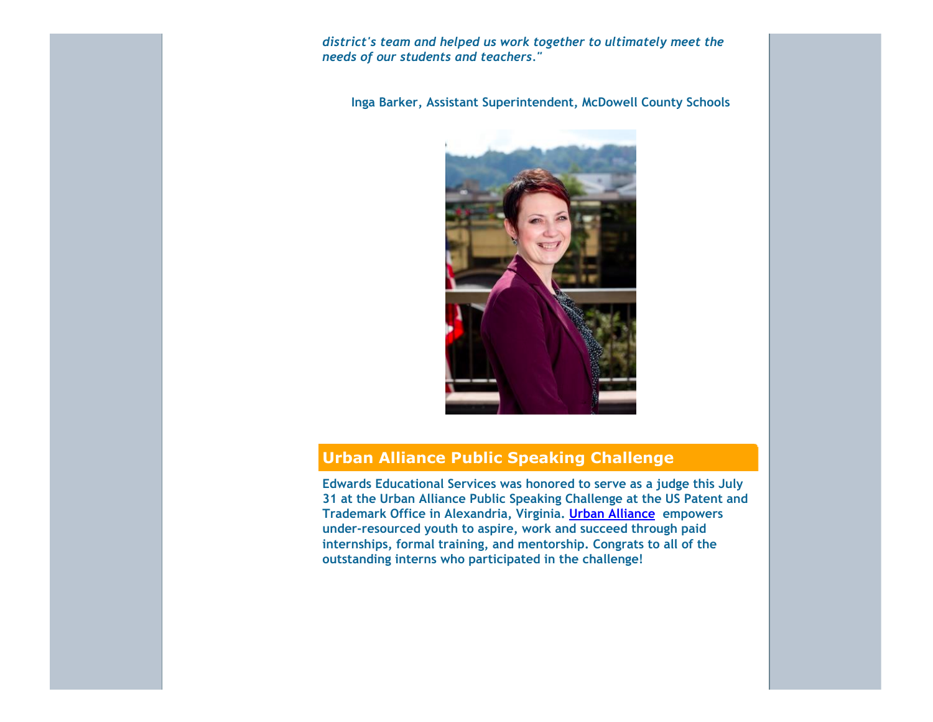*district's team and helped us work together to ultimately meet the needs of our students and teachers."*

**Inga Barker, Assistant Superintendent, McDowell County Schools**



# **Urban Alliance Public Speaking Challenge**

**Edwards Educational Services was honored to serve as a judge this July 31 at the Urban Alliance Public Speaking Challenge at the US Patent and Trademark Office in Alexandria, Virginia. Urban Alliance empowers under‐resourced youth to aspire, work and succeed through paid internships, formal training, and mentorship. Congrats to all of the outstanding interns who participated in the challenge!**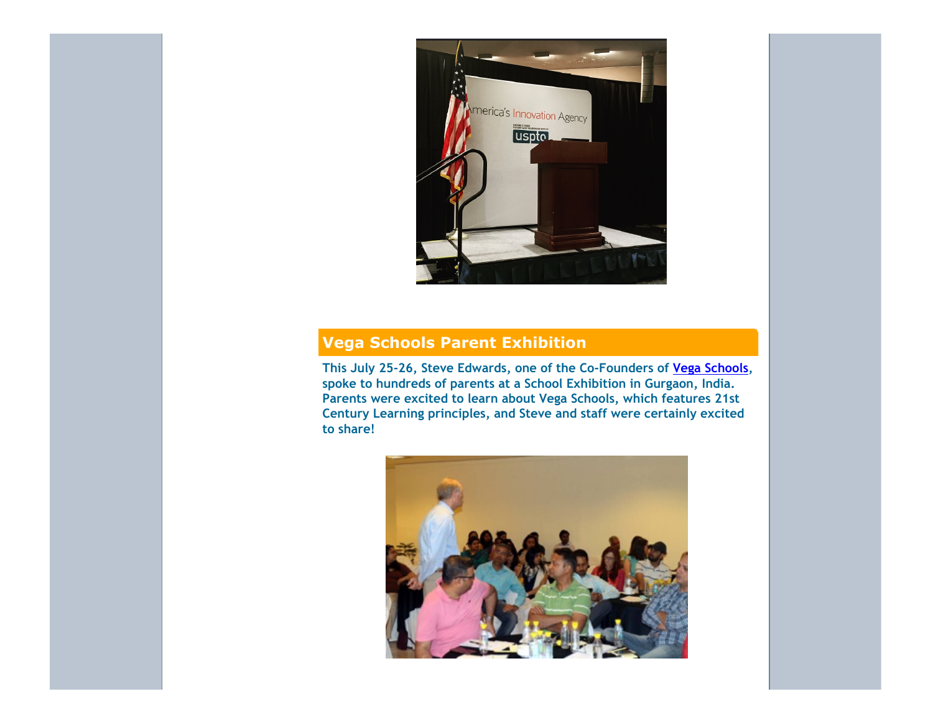

# **Vega Schools Parent Exhibition**

**This July 25‐26, Steve Edwards, one of the Co‐Founders of Vega Schools, spoke to hundreds of parents at a School Exhibition in Gurgaon, India. Parents were excited to learn about Vega Schools, which features 21st Century Learning principles, and Steve and staff were certainly excited to share!**

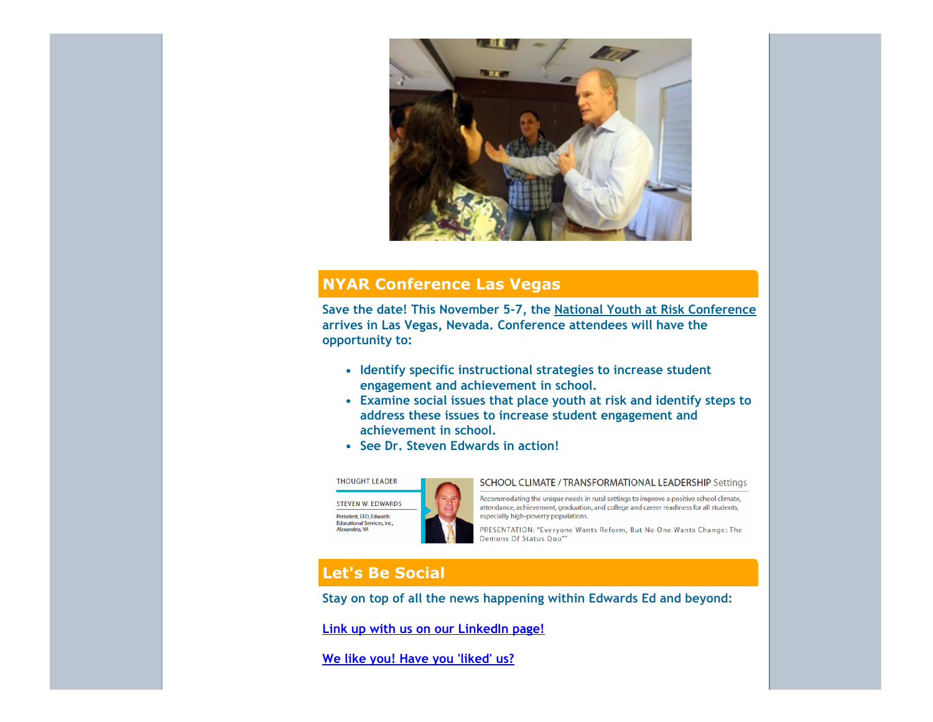

# **NYAR Conference Las Vegas**

**Save the date! This November 5‐7, the National Youth at Risk Conference arrives in Las Vegas, Nevada. Conference attendees will have the opportunity to:**

- **Identify specific instructional strategies to increase student engagement and achievement in school.**
- **Examine social issues that place youth at risk and identify steps to address these issues to increase student engagement and achievement in school.**
- **See Dr. Steven Edwards in action!**

### **THOUGHT LEADER**

Alexandria, VA



### SCHOOL CLIMATE / TRANSFORMATIONAL LEADERSHIP Settings

Accommodating the unique needs in rural settings to improve a positive school climate, attendance, achievement, graduation, and college and career readiness for all students, especially high-poverty populations.

PRESENTATION: "Everyone Wants Reform, But No One Wants Change: The Demons Of Status Quo"

# **Let's Be Social**

**Stay on top of all the news happening within Edwards Ed and beyond:**

**Link up with us on our LinkedIn page!**

**We like you! Have you 'liked' us?**